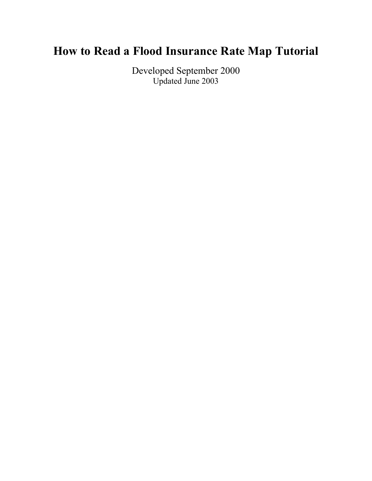# **How to Read a Flood Insurance Rate Map Tutorial**

Developed September 2000 Updated June 2003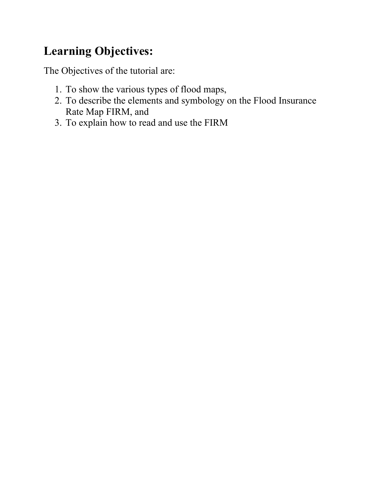# **Learning Objectives:**

The Objectives of the tutorial are:

- 1. To show the various types of flood maps,
- 2. To describe the elements and symbology on the Flood Insurance Rate Map FIRM, and
- 3. To explain how to read and use the FIRM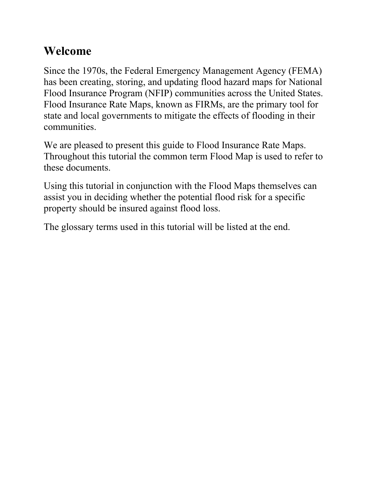## **Welcome**

Since the 1970s, the Federal Emergency Management Agency (FEMA) has been creating, storing, and updating flood hazard maps for National Flood Insurance Program (NFIP) communities across the United States. Flood Insurance Rate Maps, known as FIRMs, are the primary tool for state and local governments to mitigate the effects of flooding in their communities.

We are pleased to present this guide to Flood Insurance Rate Maps. Throughout this tutorial the common term Flood Map is used to refer to these documents.

Using this tutorial in conjunction with the Flood Maps themselves can assist you in deciding whether the potential flood risk for a specific property should be insured against flood loss.

The glossary terms used in this tutorial will be listed at the end.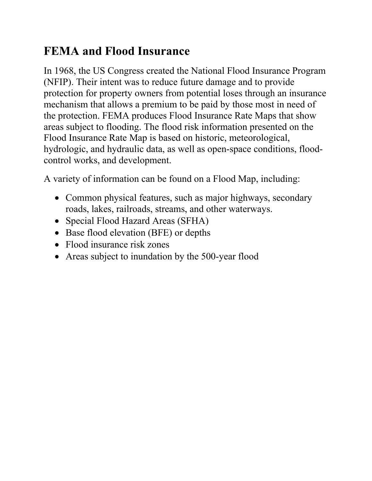# **FEMA and Flood Insurance**

In 1968, the US Congress created the National Flood Insurance Program (NFIP). Their intent was to reduce future damage and to provide protection for property owners from potential loses through an insurance mechanism that allows a premium to be paid by those most in need of the protection. FEMA produces Flood Insurance Rate Maps that show areas subject to flooding. The flood risk information presented on the Flood Insurance Rate Map is based on historic, meteorological, hydrologic, and hydraulic data, as well as open-space conditions, floodcontrol works, and development.

A variety of information can be found on a Flood Map, including:

- Common physical features, such as major highways, secondary roads, lakes, railroads, streams, and other waterways.
- Special Flood Hazard Areas (SFHA)
- Base flood elevation (BFE) or depths
- Flood insurance risk zones
- Areas subject to inundation by the 500-year flood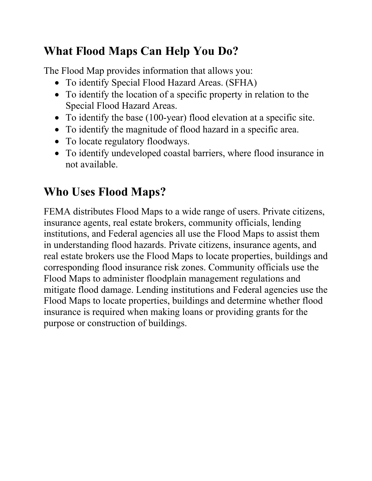# **What Flood Maps Can Help You Do?**

The Flood Map provides information that allows you:

- To identify Special Flood Hazard Areas. (SFHA)
- To identify the location of a specific property in relation to the Special Flood Hazard Areas.
- To identify the base (100-year) flood elevation at a specific site.
- To identify the magnitude of flood hazard in a specific area.
- To locate regulatory floodways.
- To identify undeveloped coastal barriers, where flood insurance in not available.

# **Who Uses Flood Maps?**

FEMA distributes Flood Maps to a wide range of users. Private citizens, insurance agents, real estate brokers, community officials, lending institutions, and Federal agencies all use the Flood Maps to assist them in understanding flood hazards. Private citizens, insurance agents, and real estate brokers use the Flood Maps to locate properties, buildings and corresponding flood insurance risk zones. Community officials use the Flood Maps to administer floodplain management regulations and mitigate flood damage. Lending institutions and Federal agencies use the Flood Maps to locate properties, buildings and determine whether flood insurance is required when making loans or providing grants for the purpose or construction of buildings.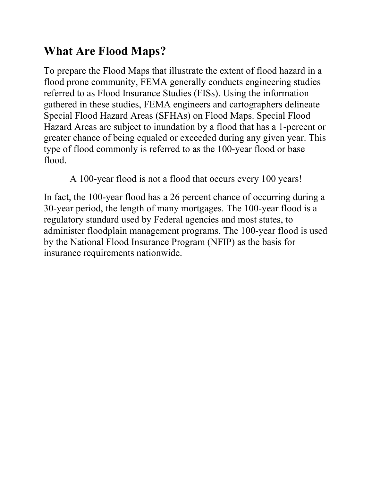# **What Are Flood Maps?**

To prepare the Flood Maps that illustrate the extent of flood hazard in a flood prone community, FEMA generally conducts engineering studies referred to as Flood Insurance Studies (FISs). Using the information gathered in these studies, FEMA engineers and cartographers delineate Special Flood Hazard Areas (SFHAs) on Flood Maps. Special Flood Hazard Areas are subject to inundation by a flood that has a 1-percent or greater chance of being equaled or exceeded during any given year. This type of flood commonly is referred to as the 100-year flood or base flood.

A 100-year flood is not a flood that occurs every 100 years!

In fact, the 100-year flood has a 26 percent chance of occurring during a 30-year period, the length of many mortgages. The 100-year flood is a regulatory standard used by Federal agencies and most states, to administer floodplain management programs. The 100-year flood is used by the National Flood Insurance Program (NFIP) as the basis for insurance requirements nationwide.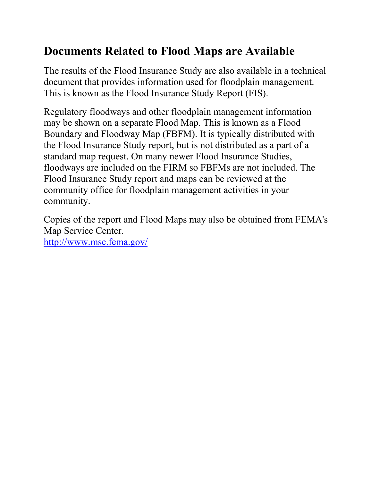# **Documents Related to Flood Maps are Available**

The results of the Flood Insurance Study are also available in a technical document that provides information used for floodplain management. This is known as the Flood Insurance Study Report (FIS).

Regulatory floodways and other floodplain management information may be shown on a separate Flood Map. This is known as a Flood Boundary and Floodway Map (FBFM). It is typically distributed with the Flood Insurance Study report, but is not distributed as a part of a standard map request. On many newer Flood Insurance Studies, floodways are included on the FIRM so FBFMs are not included. The Flood Insurance Study report and maps can be reviewed at the community office for floodplain management activities in your community.

Copies of the report and Flood Maps may also be obtained from FEMA's Map Service Center. <http://www.msc.fema.gov/>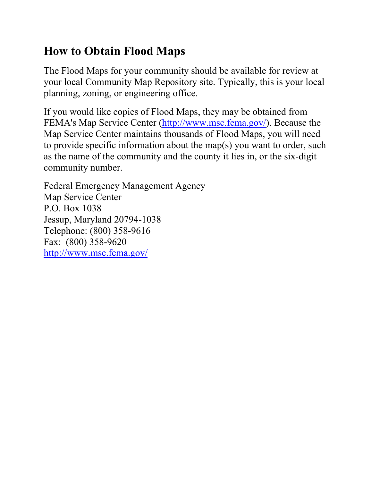# **How to Obtain Flood Maps**

The Flood Maps for your community should be available for review at your local Community Map Repository site. Typically, this is your local planning, zoning, or engineering office.

If you would like copies of Flood Maps, they may be obtained from FEMA's Map Service Center (<http://www.msc.fema.gov/>). Because the Map Service Center maintains thousands of Flood Maps, you will need to provide specific information about the map(s) you want to order, such as the name of the community and the county it lies in, or the six-digit community number.

Federal Emergency Management Agency Map Service Center P.O. Box 1038 Jessup, Maryland 20794-1038 Telephone: (800) 358-9616 Fax: (800) 358-9620 <http://www.msc.fema.gov/>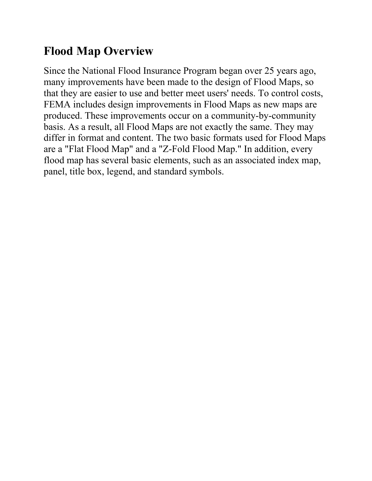# **Flood Map Overview**

Since the National Flood Insurance Program began over 25 years ago, many improvements have been made to the design of Flood Maps, so that they are easier to use and better meet users' needs. To control costs, FEMA includes design improvements in Flood Maps as new maps are produced. These improvements occur on a community-by-community basis. As a result, all Flood Maps are not exactly the same. They may differ in format and content. The two basic formats used for Flood Maps are a "Flat Flood Map" and a "Z-Fold Flood Map." In addition, every flood map has several basic elements, such as an associated index map, panel, title box, legend, and standard symbols.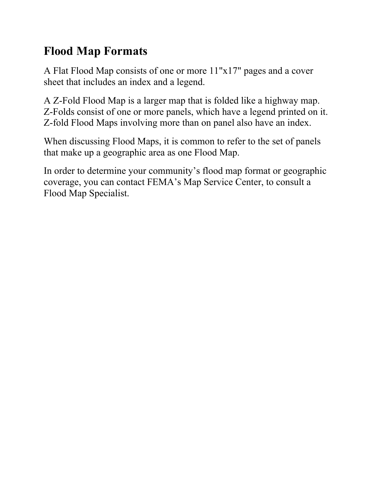# **Flood Map Formats**

A Flat Flood Map consists of one or more 11"x17" pages and a cover sheet that includes an index and a legend.

A Z-Fold Flood Map is a larger map that is folded like a highway map. Z-Folds consist of one or more panels, which have a legend printed on it. Z-fold Flood Maps involving more than on panel also have an index.

When discussing Flood Maps, it is common to refer to the set of panels that make up a geographic area as one Flood Map.

In order to determine your community's flood map format or geographic coverage, you can contact FEMA's Map Service Center, to consult a Flood Map Specialist.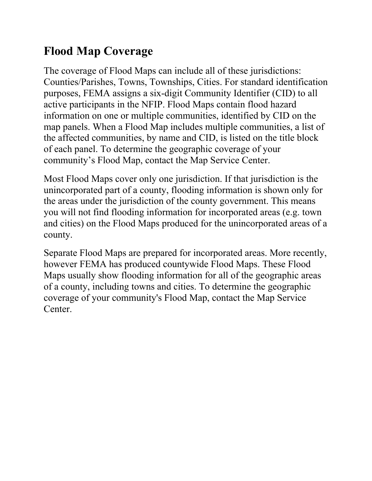# **Flood Map Coverage**

The coverage of Flood Maps can include all of these jurisdictions: Counties/Parishes, Towns, Townships, Cities. For standard identification purposes, FEMA assigns a six-digit Community Identifier (CID) to all active participants in the NFIP. Flood Maps contain flood hazard information on one or multiple communities, identified by CID on the map panels. When a Flood Map includes multiple communities, a list of the affected communities, by name and CID, is listed on the title block of each panel. To determine the geographic coverage of your community's Flood Map, contact the Map Service Center.

Most Flood Maps cover only one jurisdiction. If that jurisdiction is the unincorporated part of a county, flooding information is shown only for the areas under the jurisdiction of the county government. This means you will not find flooding information for incorporated areas (e.g. town and cities) on the Flood Maps produced for the unincorporated areas of a county.

Separate Flood Maps are prepared for incorporated areas. More recently, however FEMA has produced countywide Flood Maps. These Flood Maps usually show flooding information for all of the geographic areas of a county, including towns and cities. To determine the geographic coverage of your community's Flood Map, contact the Map Service Center.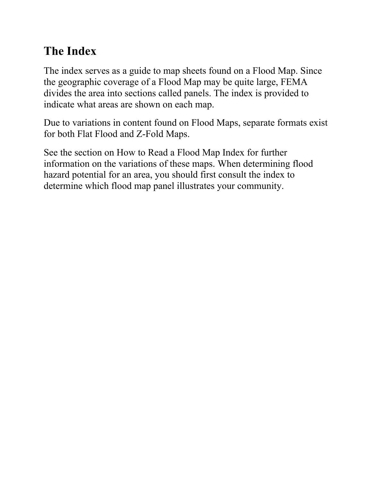# **The Index**

The index serves as a guide to map sheets found on a Flood Map. Since the geographic coverage of a Flood Map may be quite large, FEMA divides the area into sections called panels. The index is provided to indicate what areas are shown on each map.

Due to variations in content found on Flood Maps, separate formats exist for both Flat Flood and Z-Fold Maps.

See the section on How to Read a Flood Map Index for further information on the variations of these maps. When determining flood hazard potential for an area, you should first consult the index to determine which flood map panel illustrates your community.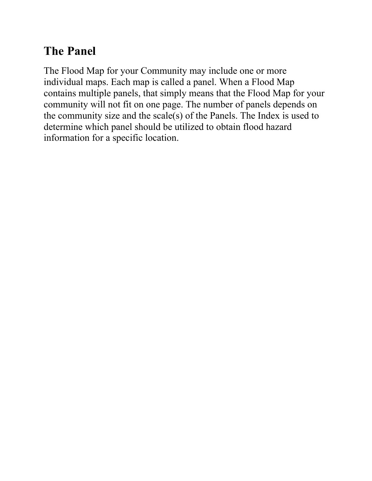# **The Panel**

The Flood Map for your Community may include one or more individual maps. Each map is called a panel. When a Flood Map contains multiple panels, that simply means that the Flood Map for your community will not fit on one page. The number of panels depends on the community size and the scale(s) of the Panels. The Index is used to determine which panel should be utilized to obtain flood hazard information for a specific location.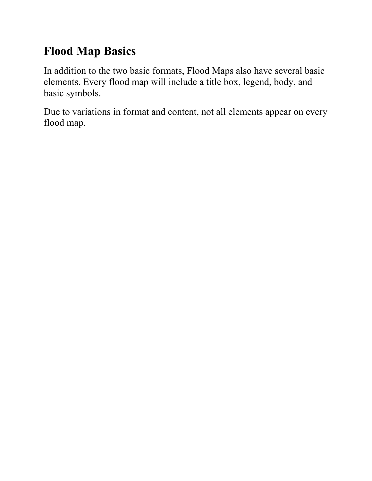# **Flood Map Basics**

In addition to the two basic formats, Flood Maps also have several basic elements. Every flood map will include a title box, legend, body, and basic symbols.

Due to variations in format and content, not all elements appear on every flood map.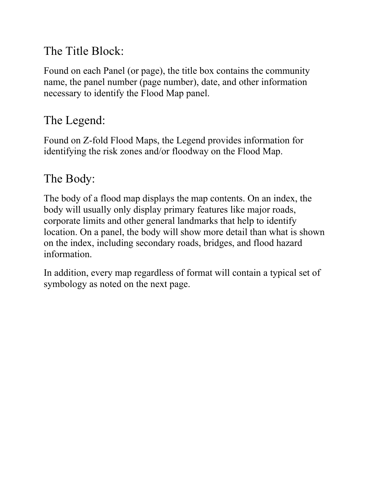### The Title Block:

Found on each Panel (or page), the title box contains the community name, the panel number (page number), date, and other information necessary to identify the Flood Map panel.

## The Legend:

Found on Z-fold Flood Maps, the Legend provides information for identifying the risk zones and/or floodway on the Flood Map.

## The Body:

The body of a flood map displays the map contents. On an index, the body will usually only display primary features like major roads, corporate limits and other general landmarks that help to identify location. On a panel, the body will show more detail than what is shown on the index, including secondary roads, bridges, and flood hazard information.

In addition, every map regardless of format will contain a typical set of symbology as noted on the next page.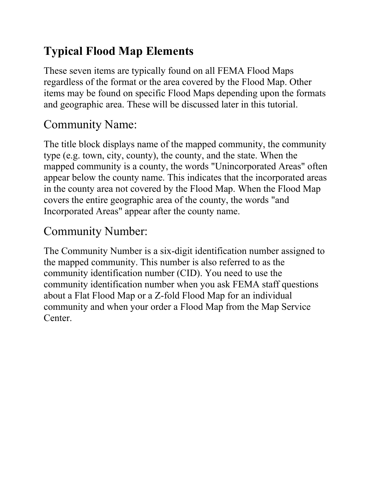# **Typical Flood Map Elements**

These seven items are typically found on all FEMA Flood Maps regardless of the format or the area covered by the Flood Map. Other items may be found on specific Flood Maps depending upon the formats and geographic area. These will be discussed later in this tutorial.

# Community Name:

The title block displays name of the mapped community, the community type (e.g. town, city, county), the county, and the state. When the mapped community is a county, the words "Unincorporated Areas" often appear below the county name. This indicates that the incorporated areas in the county area not covered by the Flood Map. When the Flood Map covers the entire geographic area of the county, the words "and Incorporated Areas" appear after the county name.

# Community Number:

The Community Number is a six-digit identification number assigned to the mapped community. This number is also referred to as the community identification number (CID). You need to use the community identification number when you ask FEMA staff questions about a Flat Flood Map or a Z-fold Flood Map for an individual community and when your order a Flood Map from the Map Service Center.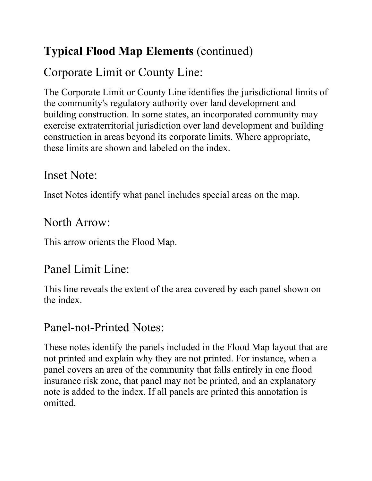# **Typical Flood Map Elements** (continued)

# Corporate Limit or County Line:

The Corporate Limit or County Line identifies the jurisdictional limits of the community's regulatory authority over land development and building construction. In some states, an incorporated community may exercise extraterritorial jurisdiction over land development and building construction in areas beyond its corporate limits. Where appropriate, these limits are shown and labeled on the index.

### Inset Note:

Inset Notes identify what panel includes special areas on the map.

## North Arrow:

This arrow orients the Flood Map.

# Panel Limit Line:

This line reveals the extent of the area covered by each panel shown on the index.

# Panel-not-Printed Notes:

These notes identify the panels included in the Flood Map layout that are not printed and explain why they are not printed. For instance, when a panel covers an area of the community that falls entirely in one flood insurance risk zone, that panel may not be printed, and an explanatory note is added to the index. If all panels are printed this annotation is omitted.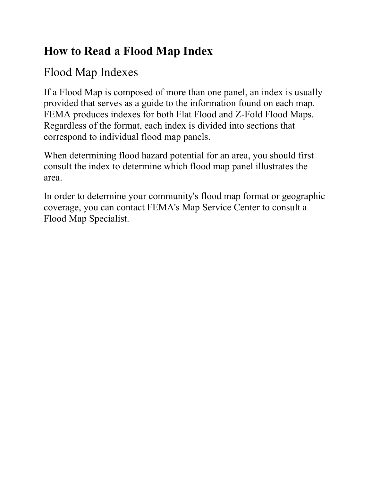# **How to Read a Flood Map Index**

# Flood Map Indexes

If a Flood Map is composed of more than one panel, an index is usually provided that serves as a guide to the information found on each map. FEMA produces indexes for both Flat Flood and Z-Fold Flood Maps. Regardless of the format, each index is divided into sections that correspond to individual flood map panels.

When determining flood hazard potential for an area, you should first consult the index to determine which flood map panel illustrates the area.

In order to determine your community's flood map format or geographic coverage, you can contact FEMA's Map Service Center to consult a Flood Map Specialist.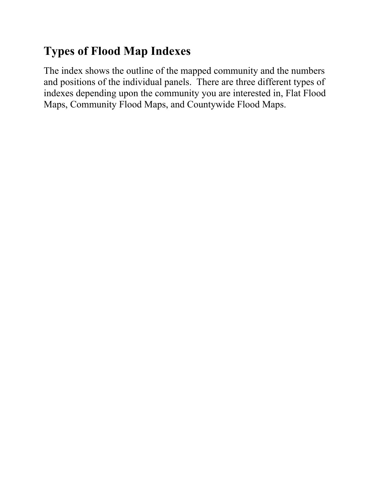# **Types of Flood Map Indexes**

The index shows the outline of the mapped community and the numbers and positions of the individual panels. There are three different types of indexes depending upon the community you are interested in, Flat Flood Maps, Community Flood Maps, and Countywide Flood Maps.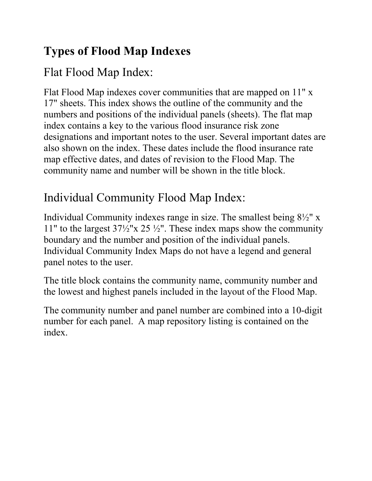# **Types of Flood Map Indexes**

# Flat Flood Map Index:

Flat Flood Map indexes cover communities that are mapped on 11" x 17" sheets. This index shows the outline of the community and the numbers and positions of the individual panels (sheets). The flat map index contains a key to the various flood insurance risk zone designations and important notes to the user. Several important dates are also shown on the index. These dates include the flood insurance rate map effective dates, and dates of revision to the Flood Map. The community name and number will be shown in the title block.

# Individual Community Flood Map Index:

Individual Community indexes range in size. The smallest being 8½" x 11" to the largest  $37\frac{1}{2}$ "x 25  $\frac{1}{2}$ ". These index maps show the community boundary and the number and position of the individual panels. Individual Community Index Maps do not have a legend and general panel notes to the user.

The title block contains the community name, community number and the lowest and highest panels included in the layout of the Flood Map.

The community number and panel number are combined into a 10-digit number for each panel. A map repository listing is contained on the index.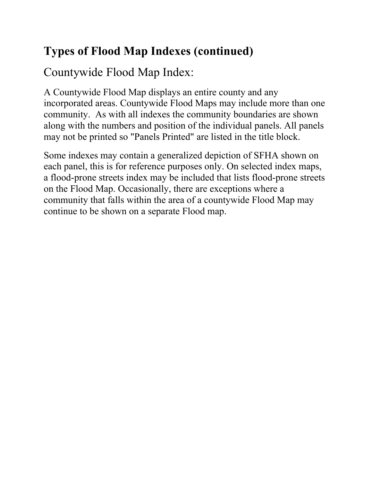# **Types of Flood Map Indexes (continued)**

Countywide Flood Map Index:

A Countywide Flood Map displays an entire county and any incorporated areas. Countywide Flood Maps may include more than one community. As with all indexes the community boundaries are shown along with the numbers and position of the individual panels. All panels may not be printed so "Panels Printed" are listed in the title block.

Some indexes may contain a generalized depiction of SFHA shown on each panel, this is for reference purposes only. On selected index maps, a flood-prone streets index may be included that lists flood-prone streets on the Flood Map. Occasionally, there are exceptions where a community that falls within the area of a countywide Flood Map may continue to be shown on a separate Flood map.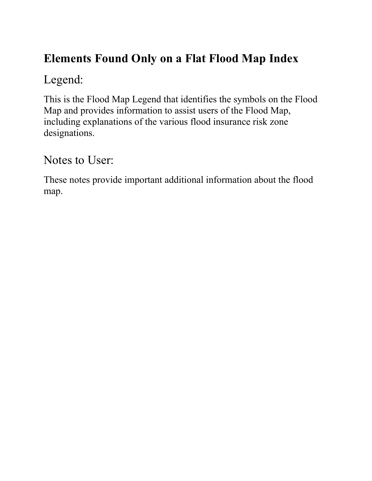# **Elements Found Only on a Flat Flood Map Index**

# Legend:

This is the Flood Map Legend that identifies the symbols on the Flood Map and provides information to assist users of the Flood Map, including explanations of the various flood insurance risk zone designations.

Notes to User:

These notes provide important additional information about the flood map.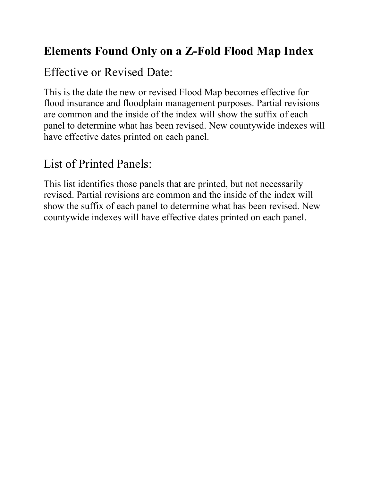# **Elements Found Only on a Z-Fold Flood Map Index**

# Effective or Revised Date:

This is the date the new or revised Flood Map becomes effective for flood insurance and floodplain management purposes. Partial revisions are common and the inside of the index will show the suffix of each panel to determine what has been revised. New countywide indexes will have effective dates printed on each panel.

# List of Printed Panels:

This list identifies those panels that are printed, but not necessarily revised. Partial revisions are common and the inside of the index will show the suffix of each panel to determine what has been revised. New countywide indexes will have effective dates printed on each panel.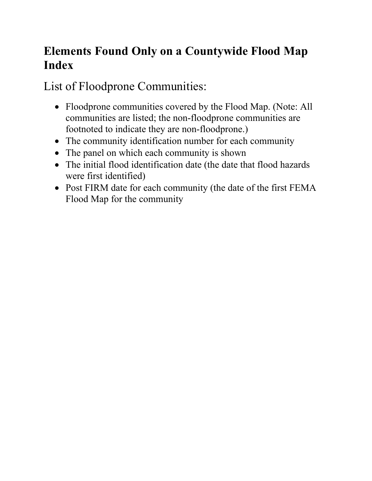# **Elements Found Only on a Countywide Flood Map Index**

List of Floodprone Communities:

- Floodprone communities covered by the Flood Map. (Note: All communities are listed; the non-floodprone communities are footnoted to indicate they are non-floodprone.)
- The community identification number for each community
- The panel on which each community is shown
- The initial flood identification date (the date that flood hazards were first identified)
- Post FIRM date for each community (the date of the first FEMA Flood Map for the community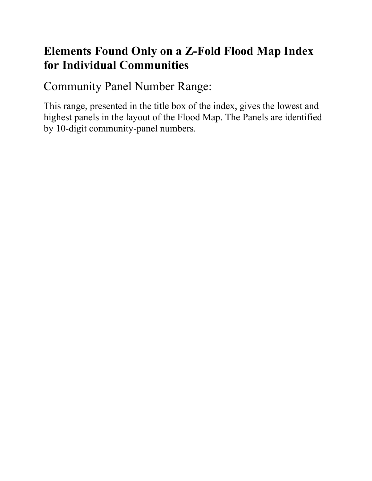## **Elements Found Only on a Z-Fold Flood Map Index for Individual Communities**

Community Panel Number Range:

This range, presented in the title box of the index, gives the lowest and highest panels in the layout of the Flood Map. The Panels are identified by 10-digit community-panel numbers.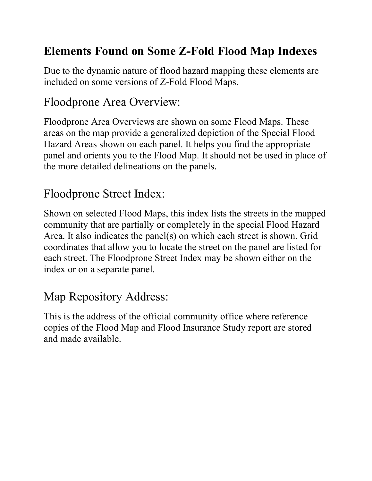# **Elements Found on Some Z-Fold Flood Map Indexes**

Due to the dynamic nature of flood hazard mapping these elements are included on some versions of Z-Fold Flood Maps.

## Floodprone Area Overview:

Floodprone Area Overviews are shown on some Flood Maps. These areas on the map provide a generalized depiction of the Special Flood Hazard Areas shown on each panel. It helps you find the appropriate panel and orients you to the Flood Map. It should not be used in place of the more detailed delineations on the panels.

# Floodprone Street Index:

Shown on selected Flood Maps, this index lists the streets in the mapped community that are partially or completely in the special Flood Hazard Area. It also indicates the panel(s) on which each street is shown. Grid coordinates that allow you to locate the street on the panel are listed for each street. The Floodprone Street Index may be shown either on the index or on a separate panel.

# Map Repository Address:

This is the address of the official community office where reference copies of the Flood Map and Flood Insurance Study report are stored and made available.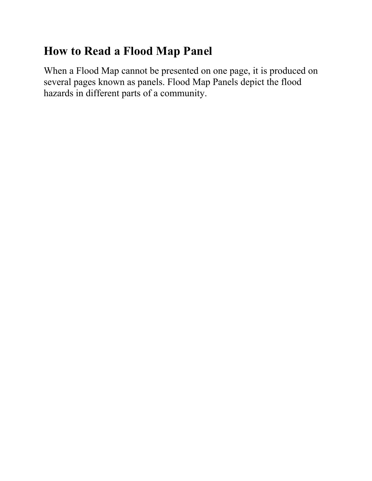# **How to Read a Flood Map Panel**

When a Flood Map cannot be presented on one page, it is produced on several pages known as panels. Flood Map Panels depict the flood hazards in different parts of a community.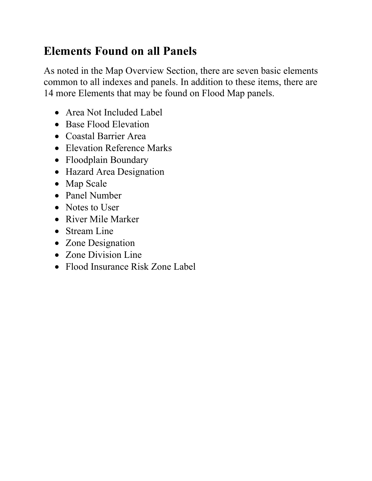# **Elements Found on all Panels**

As noted in the Map Overview Section, there are seven basic elements common to all indexes and panels. In addition to these items, there are 14 more Elements that may be found on Flood Map panels.

- Area Not Included Label
- Base Flood Elevation
- Coastal Barrier Area
- Elevation Reference Marks
- Floodplain Boundary
- Hazard Area Designation
- Map Scale
- Panel Number
- Notes to User
- River Mile Marker
- Stream Line
- Zone Designation
- Zone Division Line
- Flood Insurance Risk Zone Label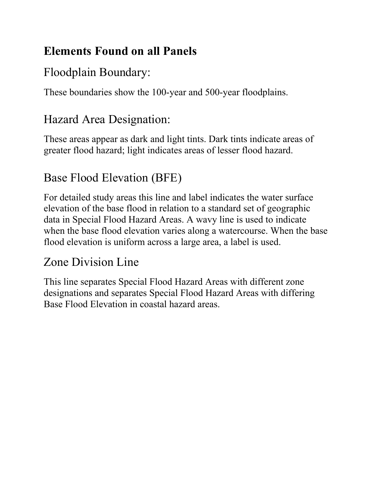# **Elements Found on all Panels**

# Floodplain Boundary:

These boundaries show the 100-year and 500-year floodplains.

# Hazard Area Designation:

These areas appear as dark and light tints. Dark tints indicate areas of greater flood hazard; light indicates areas of lesser flood hazard.

# Base Flood Elevation (BFE)

For detailed study areas this line and label indicates the water surface elevation of the base flood in relation to a standard set of geographic data in Special Flood Hazard Areas. A wavy line is used to indicate when the base flood elevation varies along a watercourse. When the base flood elevation is uniform across a large area, a label is used.

## Zone Division Line

This line separates Special Flood Hazard Areas with different zone designations and separates Special Flood Hazard Areas with differing Base Flood Elevation in coastal hazard areas.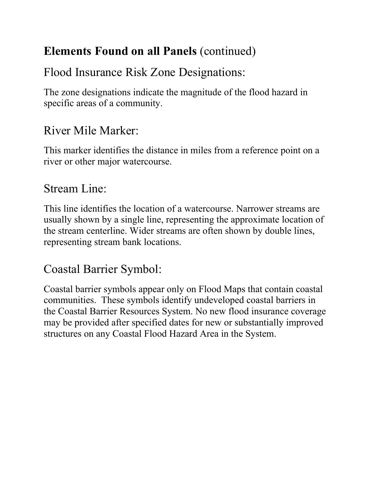# **Elements Found on all Panels** (continued)

# Flood Insurance Risk Zone Designations:

The zone designations indicate the magnitude of the flood hazard in specific areas of a community.

# River Mile Marker:

This marker identifies the distance in miles from a reference point on a river or other major watercourse.

## Stream Line:

This line identifies the location of a watercourse. Narrower streams are usually shown by a single line, representing the approximate location of the stream centerline. Wider streams are often shown by double lines, representing stream bank locations.

# Coastal Barrier Symbol:

Coastal barrier symbols appear only on Flood Maps that contain coastal communities. These symbols identify undeveloped coastal barriers in the Coastal Barrier Resources System. No new flood insurance coverage may be provided after specified dates for new or substantially improved structures on any Coastal Flood Hazard Area in the System.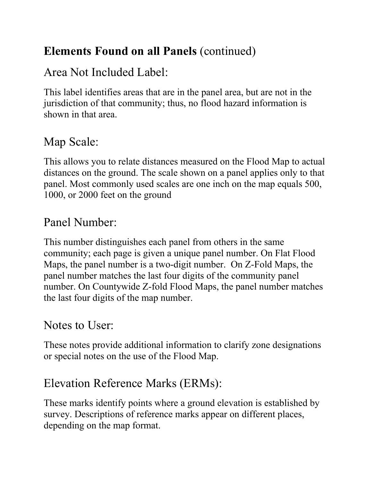# **Elements Found on all Panels** (continued)

## Area Not Included Label:

This label identifies areas that are in the panel area, but are not in the jurisdiction of that community; thus, no flood hazard information is shown in that area.

# Map Scale:

This allows you to relate distances measured on the Flood Map to actual distances on the ground. The scale shown on a panel applies only to that panel. Most commonly used scales are one inch on the map equals 500, 1000, or 2000 feet on the ground

## Panel Number:

This number distinguishes each panel from others in the same community; each page is given a unique panel number. On Flat Flood Maps, the panel number is a two-digit number. On Z-Fold Maps, the panel number matches the last four digits of the community panel number. On Countywide Z-fold Flood Maps, the panel number matches the last four digits of the map number.

## Notes to User:

These notes provide additional information to clarify zone designations or special notes on the use of the Flood Map.

## Elevation Reference Marks (ERMs):

These marks identify points where a ground elevation is established by survey. Descriptions of reference marks appear on different places, depending on the map format.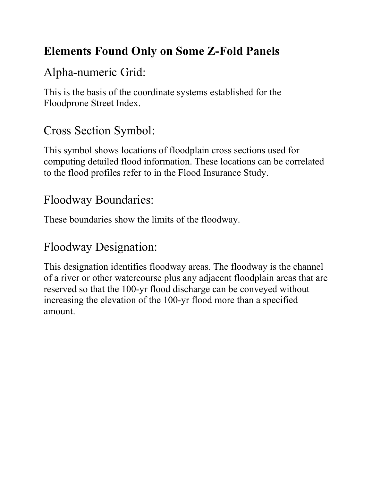# **Elements Found Only on Some Z-Fold Panels**

# Alpha-numeric Grid:

This is the basis of the coordinate systems established for the Floodprone Street Index.

# Cross Section Symbol:

This symbol shows locations of floodplain cross sections used for computing detailed flood information. These locations can be correlated to the flood profiles refer to in the Flood Insurance Study.

### Floodway Boundaries:

These boundaries show the limits of the floodway.

## Floodway Designation:

This designation identifies floodway areas. The floodway is the channel of a river or other watercourse plus any adjacent floodplain areas that are reserved so that the 100-yr flood discharge can be conveyed without increasing the elevation of the 100-yr flood more than a specified amount.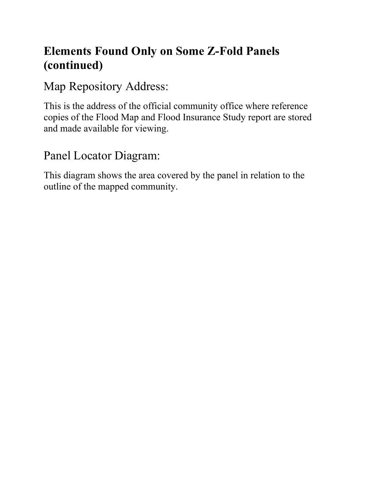# **Elements Found Only on Some Z-Fold Panels (continued)**

Map Repository Address:

This is the address of the official community office where reference copies of the Flood Map and Flood Insurance Study report are stored and made available for viewing.

## Panel Locator Diagram:

This diagram shows the area covered by the panel in relation to the outline of the mapped community.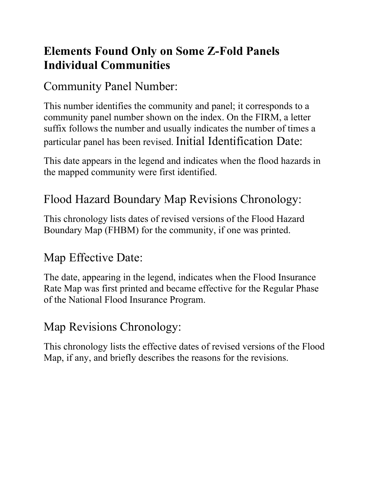# **Elements Found Only on Some Z-Fold Panels Individual Communities**

### Community Panel Number:

This number identifies the community and panel; it corresponds to a community panel number shown on the index. On the FIRM, a letter suffix follows the number and usually indicates the number of times a particular panel has been revised. Initial Identification Date:

This date appears in the legend and indicates when the flood hazards in the mapped community were first identified.

# Flood Hazard Boundary Map Revisions Chronology:

This chronology lists dates of revised versions of the Flood Hazard Boundary Map (FHBM) for the community, if one was printed.

## Map Effective Date:

The date, appearing in the legend, indicates when the Flood Insurance Rate Map was first printed and became effective for the Regular Phase of the National Flood Insurance Program.

## Map Revisions Chronology:

This chronology lists the effective dates of revised versions of the Flood Map, if any, and briefly describes the reasons for the revisions.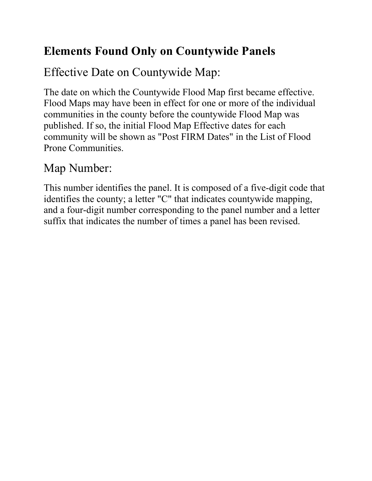# **Elements Found Only on Countywide Panels**

# Effective Date on Countywide Map:

The date on which the Countywide Flood Map first became effective. Flood Maps may have been in effect for one or more of the individual communities in the county before the countywide Flood Map was published. If so, the initial Flood Map Effective dates for each community will be shown as "Post FIRM Dates" in the List of Flood Prone Communities.

# Map Number:

This number identifies the panel. It is composed of a five-digit code that identifies the county; a letter "C" that indicates countywide mapping, and a four-digit number corresponding to the panel number and a letter suffix that indicates the number of times a panel has been revised.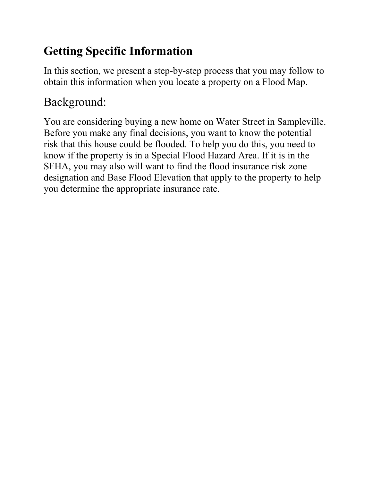# **Getting Specific Information**

In this section, we present a step-by-step process that you may follow to obtain this information when you locate a property on a Flood Map.

# Background:

You are considering buying a new home on Water Street in Sampleville. Before you make any final decisions, you want to know the potential risk that this house could be flooded. To help you do this, you need to know if the property is in a Special Flood Hazard Area. If it is in the SFHA, you may also will want to find the flood insurance risk zone designation and Base Flood Elevation that apply to the property to help you determine the appropriate insurance rate.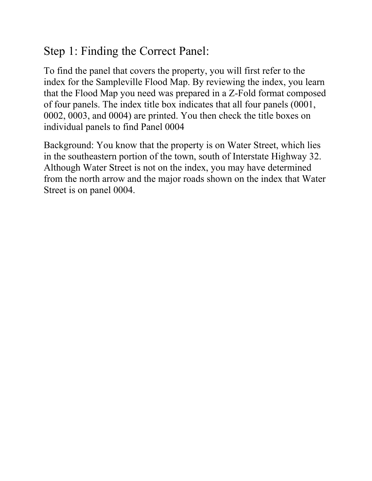### Step 1: Finding the Correct Panel:

To find the panel that covers the property, you will first refer to the index for the Sampleville Flood Map. By reviewing the index, you learn that the Flood Map you need was prepared in a Z-Fold format composed of four panels. The index title box indicates that all four panels (0001, 0002, 0003, and 0004) are printed. You then check the title boxes on individual panels to find Panel 0004

Background: You know that the property is on Water Street, which lies in the southeastern portion of the town, south of Interstate Highway 32. Although Water Street is not on the index, you may have determined from the north arrow and the major roads shown on the index that Water Street is on panel 0004.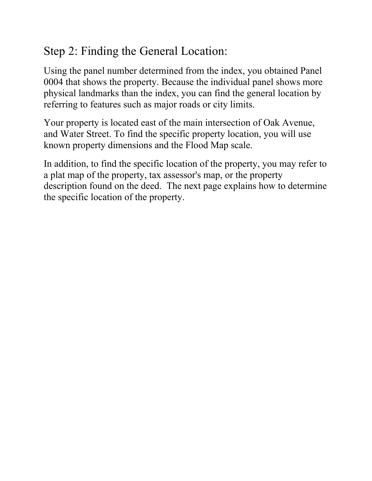# Step 2: Finding the General Location:

Using the panel number determined from the index, you obtained Panel 0004 that shows the property. Because the individual panel shows more physical landmarks than the index, you can find the general location by referring to features such as major roads or city limits.

Your property is located east of the main intersection of Oak Avenue, and Water Street. To find the specific property location, you will use known property dimensions and the Flood Map scale.

In addition, to find the specific location of the property, you may refer to a plat map of the property, tax assessor's map, or the property description found on the deed. The next page explains how to determine the specific location of the property.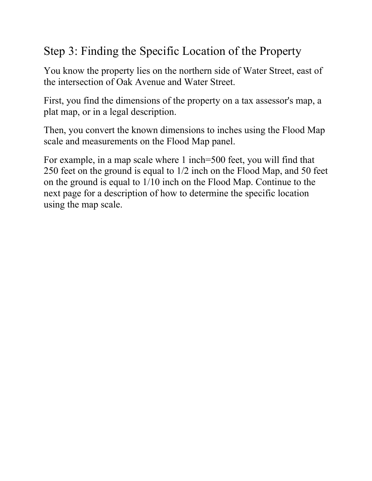# Step 3: Finding the Specific Location of the Property

You know the property lies on the northern side of Water Street, east of the intersection of Oak Avenue and Water Street.

First, you find the dimensions of the property on a tax assessor's map, a plat map, or in a legal description.

Then, you convert the known dimensions to inches using the Flood Map scale and measurements on the Flood Map panel.

For example, in a map scale where 1 inch=500 feet, you will find that 250 feet on the ground is equal to 1/2 inch on the Flood Map, and 50 feet on the ground is equal to 1/10 inch on the Flood Map. Continue to the next page for a description of how to determine the specific location using the map scale.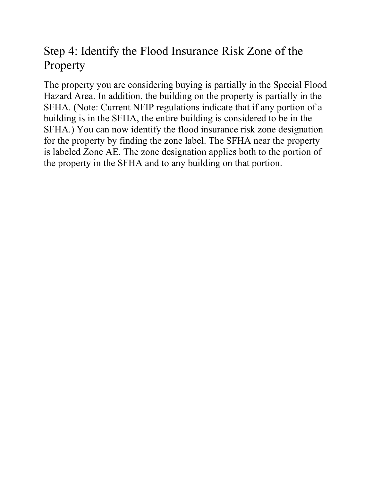# Step 4: Identify the Flood Insurance Risk Zone of the Property

The property you are considering buying is partially in the Special Flood Hazard Area. In addition, the building on the property is partially in the SFHA. (Note: Current NFIP regulations indicate that if any portion of a building is in the SFHA, the entire building is considered to be in the SFHA.) You can now identify the flood insurance risk zone designation for the property by finding the zone label. The SFHA near the property is labeled Zone AE. The zone designation applies both to the portion of the property in the SFHA and to any building on that portion.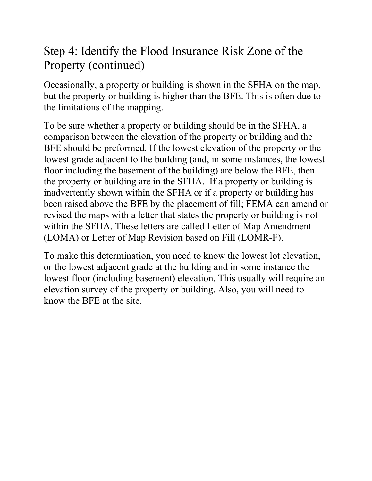## Step 4: Identify the Flood Insurance Risk Zone of the Property (continued)

Occasionally, a property or building is shown in the SFHA on the map, but the property or building is higher than the BFE. This is often due to the limitations of the mapping.

To be sure whether a property or building should be in the SFHA, a comparison between the elevation of the property or building and the BFE should be preformed. If the lowest elevation of the property or the lowest grade adjacent to the building (and, in some instances, the lowest floor including the basement of the building) are below the BFE, then the property or building are in the SFHA. If a property or building is inadvertently shown within the SFHA or if a property or building has been raised above the BFE by the placement of fill; FEMA can amend or revised the maps with a letter that states the property or building is not within the SFHA. These letters are called Letter of Map Amendment (LOMA) or Letter of Map Revision based on Fill (LOMR-F).

To make this determination, you need to know the lowest lot elevation, or the lowest adjacent grade at the building and in some instance the lowest floor (including basement) elevation. This usually will require an elevation survey of the property or building. Also, you will need to know the BFE at the site.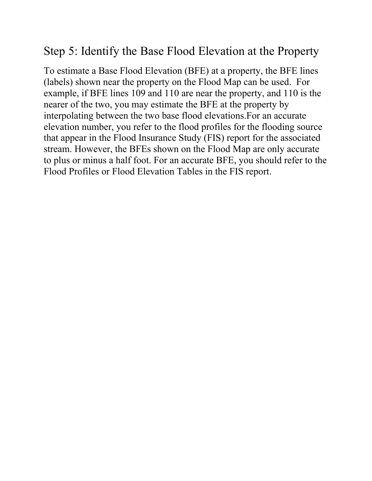### Step 5: Identify the Base Flood Elevation at the Property

To estimate a Base Flood Elevation (BFE) at a property, the BFE lines (labels) shown near the property on the Flood Map can be used. For example, if BFE lines 109 and 110 are near the property, and 110 is the nearer of the two, you may estimate the BFE at the property by interpolating between the two base flood elevations.For an accurate elevation number, you refer to the flood profiles for the flooding source that appear in the Flood Insurance Study (FIS) report for the associated stream. However, the BFEs shown on the Flood Map are only accurate to plus or minus a half foot. For an accurate BFE, you should refer to the Flood Profiles or Flood Elevation Tables in the FIS report.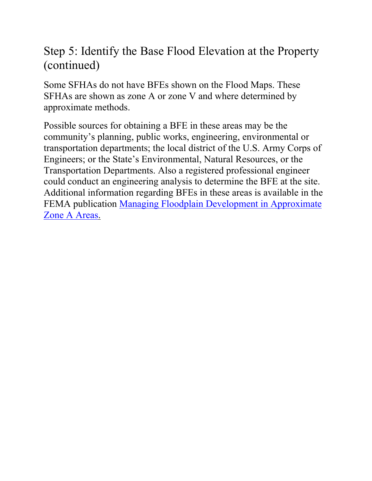## Step 5: Identify the Base Flood Elevation at the Property (continued)

Some SFHAs do not have BFEs shown on the Flood Maps. These SFHAs are shown as zone A or zone V and where determined by approximate methods.

Possible sources for obtaining a BFE in these areas may be the community's planning, public works, engineering, environmental or transportation departments; the local district of the U.S. Army Corps of Engineers; or the State's Environmental, Natural Resources, or the Transportation Departments. Also a registered professional engineer could conduct an engineering analysis to determine the BFE at the site. Additional information regarding BFEs in these areas is available in the FEMA publication [Managing Floodplain Development in Approximate](http://www.fema.gov/fhm/dl_zonea.shtm)  [Zone A Areas.](http://www.fema.gov/fhm/dl_zonea.shtm)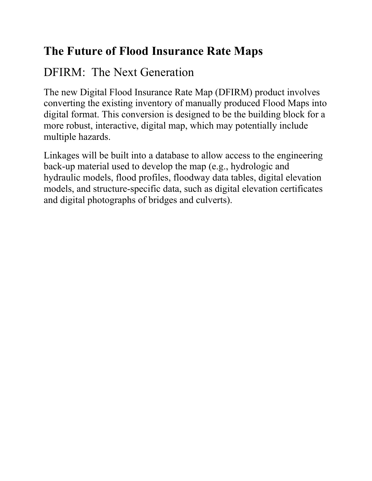# **The Future of Flood Insurance Rate Maps**

# DFIRM: The Next Generation

The new Digital Flood Insurance Rate Map (DFIRM) product involves converting the existing inventory of manually produced Flood Maps into digital format. This conversion is designed to be the building block for a more robust, interactive, digital map, which may potentially include multiple hazards.

Linkages will be built into a database to allow access to the engineering back-up material used to develop the map (e.g., hydrologic and hydraulic models, flood profiles, floodway data tables, digital elevation models, and structure-specific data, such as digital elevation certificates and digital photographs of bridges and culverts).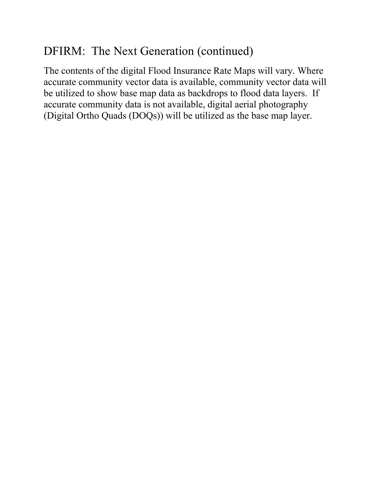# DFIRM: The Next Generation (continued)

The contents of the digital Flood Insurance Rate Maps will vary. Where accurate community vector data is available, community vector data will be utilized to show base map data as backdrops to flood data layers. If accurate community data is not available, digital aerial photography (Digital Ortho Quads (DOQs)) will be utilized as the base map layer.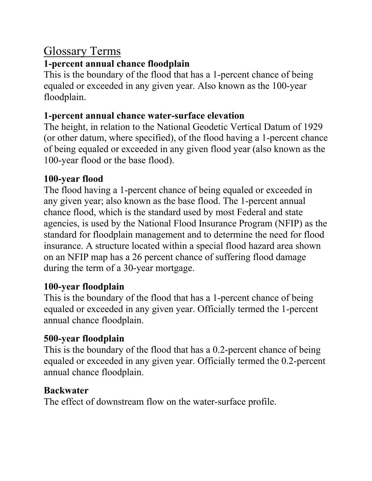### Glossary Terms

#### **1-percent annual chance floodplain**

This is the boundary of the flood that has a 1-percent chance of being equaled or exceeded in any given year. Also known as the 100-year floodplain.

#### **1-percent annual chance water-surface elevation**

The height, in relation to the National Geodetic Vertical Datum of 1929 (or other datum, where specified), of the flood having a 1-percent chance of being equaled or exceeded in any given flood year (also known as the 100-year flood or the base flood).

#### **100-year flood**

The flood having a 1-percent chance of being equaled or exceeded in any given year; also known as the base flood. The 1-percent annual chance flood, which is the standard used by most Federal and state agencies, is used by the National Flood Insurance Program (NFIP) as the standard for floodplain management and to determine the need for flood insurance. A structure located within a special flood hazard area shown on an NFIP map has a 26 percent chance of suffering flood damage during the term of a 30-year mortgage.

### **100-year floodplain**

This is the boundary of the flood that has a 1-percent chance of being equaled or exceeded in any given year. Officially termed the 1-percent annual chance floodplain.

### **500-year floodplain**

This is the boundary of the flood that has a 0.2-percent chance of being equaled or exceeded in any given year. Officially termed the 0.2-percent annual chance floodplain.

### **Backwater**

The effect of downstream flow on the water-surface profile.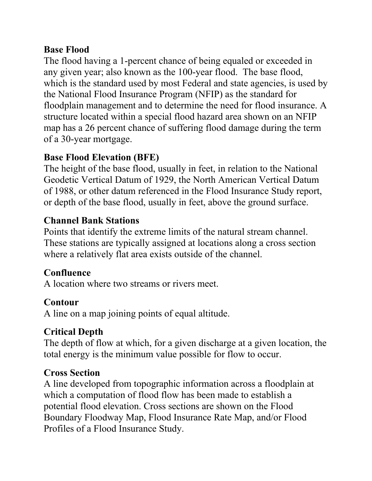#### **Base Flood**

The flood having a 1-percent chance of being equaled or exceeded in any given year; also known as the 100-year flood. The base flood, which is the standard used by most Federal and state agencies, is used by the National Flood Insurance Program (NFIP) as the standard for floodplain management and to determine the need for flood insurance. A structure located within a special flood hazard area shown on an NFIP map has a 26 percent chance of suffering flood damage during the term of a 30-year mortgage.

#### **Base Flood Elevation (BFE)**

The height of the base flood, usually in feet, in relation to the National Geodetic Vertical Datum of 1929, the North American Vertical Datum of 1988, or other datum referenced in the Flood Insurance Study report, or depth of the base flood, usually in feet, above the ground surface.

#### **Channel Bank Stations**

Points that identify the extreme limits of the natural stream channel. These stations are typically assigned at locations along a cross section where a relatively flat area exists outside of the channel.

### **Confluence**

A location where two streams or rivers meet.

### **Contour**

A line on a map joining points of equal altitude.

### **Critical Depth**

The depth of flow at which, for a given discharge at a given location, the total energy is the minimum value possible for flow to occur.

### **Cross Section**

A line developed from topographic information across a floodplain at which a computation of flood flow has been made to establish a potential flood elevation. Cross sections are shown on the Flood Boundary Floodway Map, Flood Insurance Rate Map, and/or Flood Profiles of a Flood Insurance Study.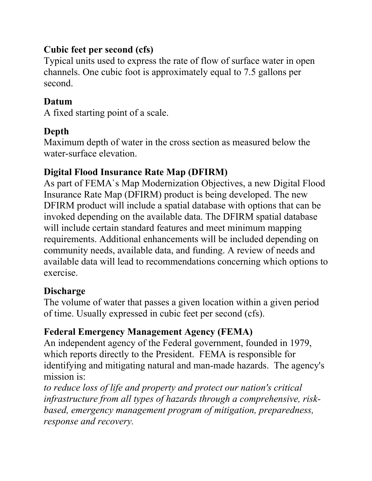#### **Cubic feet per second (cfs)**

Typical units used to express the rate of flow of surface water in open channels. One cubic foot is approximately equal to 7.5 gallons per second.

#### **Datum**

A fixed starting point of a scale.

### **Depth**

Maximum depth of water in the cross section as measured below the water-surface elevation.

### **Digital Flood Insurance Rate Map (DFIRM)**

As part of FEMA`s Map Modernization Objectives, a new Digital Flood Insurance Rate Map (DFIRM) product is being developed. The new DFIRM product will include a spatial database with options that can be invoked depending on the available data. The DFIRM spatial database will include certain standard features and meet minimum mapping requirements. Additional enhancements will be included depending on community needs, available data, and funding. A review of needs and available data will lead to recommendations concerning which options to exercise.

#### **Discharge**

The volume of water that passes a given location within a given period of time. Usually expressed in cubic feet per second (cfs).

### **Federal Emergency Management Agency (FEMA)**

An independent agency of the Federal government, founded in 1979, which reports directly to the President. FEMA is responsible for identifying and mitigating natural and man-made hazards. The agency's mission is:

*to reduce loss of life and property and protect our nation's critical infrastructure from all types of hazards through a comprehensive, riskbased, emergency management program of mitigation, preparedness, response and recovery.*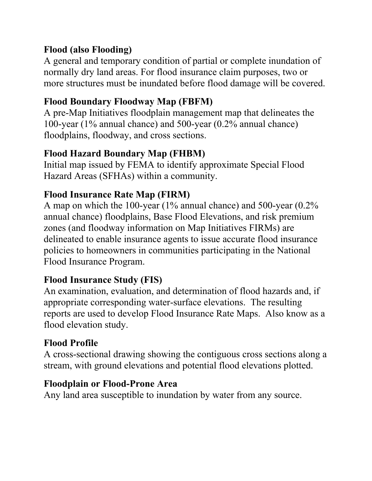#### **Flood (also Flooding)**

A general and temporary condition of partial or complete inundation of normally dry land areas. For flood insurance claim purposes, two or more structures must be inundated before flood damage will be covered.

#### **Flood Boundary Floodway Map (FBFM)**

A pre-Map Initiatives floodplain management map that delineates the 100-year (1% annual chance) and 500-year (0.2% annual chance) floodplains, floodway, and cross sections.

#### **Flood Hazard Boundary Map (FHBM)**

Initial map issued by FEMA to identify approximate Special Flood Hazard Areas (SFHAs) within a community.

#### **Flood Insurance Rate Map (FIRM)**

A map on which the 100-year (1% annual chance) and 500-year (0.2% annual chance) floodplains, Base Flood Elevations, and risk premium zones (and floodway information on Map Initiatives FIRMs) are delineated to enable insurance agents to issue accurate flood insurance policies to homeowners in communities participating in the National Flood Insurance Program.

### **Flood Insurance Study (FIS)**

An examination, evaluation, and determination of flood hazards and, if appropriate corresponding water-surface elevations. The resulting reports are used to develop Flood Insurance Rate Maps. Also know as a flood elevation study.

### **Flood Profile**

A cross-sectional drawing showing the contiguous cross sections along a stream, with ground elevations and potential flood elevations plotted.

#### **Floodplain or Flood-Prone Area**

Any land area susceptible to inundation by water from any source.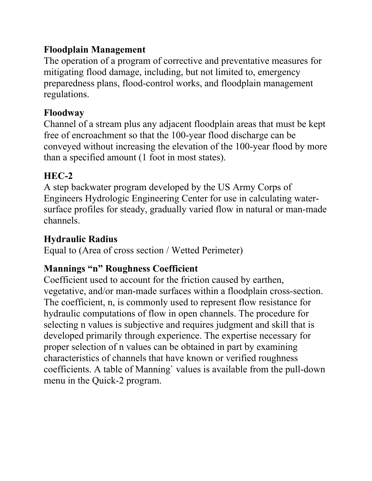#### **Floodplain Management**

The operation of a program of corrective and preventative measures for mitigating flood damage, including, but not limited to, emergency preparedness plans, flood-control works, and floodplain management regulations.

#### **Floodway**

Channel of a stream plus any adjacent floodplain areas that must be kept free of encroachment so that the 100-year flood discharge can be conveyed without increasing the elevation of the 100-year flood by more than a specified amount (1 foot in most states).

#### **HEC-2**

A step backwater program developed by the US Army Corps of Engineers Hydrologic Engineering Center for use in calculating watersurface profiles for steady, gradually varied flow in natural or man-made channels.

### **Hydraulic Radius**

Equal to (Area of cross section / Wetted Perimeter)

### **Mannings "n" Roughness Coefficient**

Coefficient used to account for the friction caused by earthen, vegetative, and/or man-made surfaces within a floodplain cross-section. The coefficient, n, is commonly used to represent flow resistance for hydraulic computations of flow in open channels. The procedure for selecting n values is subjective and requires judgment and skill that is developed primarily through experience. The expertise necessary for proper selection of n values can be obtained in part by examining characteristics of channels that have known or verified roughness coefficients. A table of Manning` values is available from the pull-down menu in the Quick-2 program.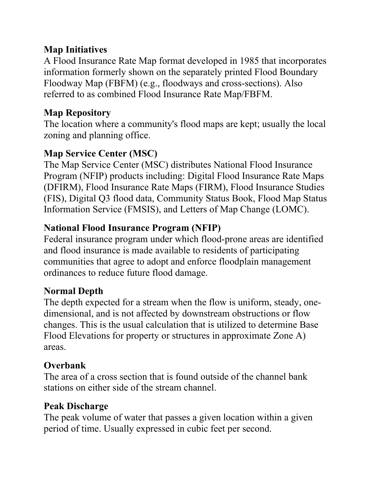#### **Map Initiatives**

A Flood Insurance Rate Map format developed in 1985 that incorporates information formerly shown on the separately printed Flood Boundary Floodway Map (FBFM) (e.g., floodways and cross-sections). Also referred to as combined Flood Insurance Rate Map/FBFM.

### **Map Repository**

The location where a community's flood maps are kept; usually the local zoning and planning office.

### **Map Service Center (MSC)**

The Map Service Center (MSC) distributes National Flood Insurance Program (NFIP) products including: Digital Flood Insurance Rate Maps (DFIRM), Flood Insurance Rate Maps (FIRM), Flood Insurance Studies (FIS), Digital Q3 flood data, Community Status Book, Flood Map Status Information Service (FMSIS), and Letters of Map Change (LOMC).

### **National Flood Insurance Program (NFIP)**

Federal insurance program under which flood-prone areas are identified and flood insurance is made available to residents of participating communities that agree to adopt and enforce floodplain management ordinances to reduce future flood damage.

### **Normal Depth**

The depth expected for a stream when the flow is uniform, steady, onedimensional, and is not affected by downstream obstructions or flow changes. This is the usual calculation that is utilized to determine Base Flood Elevations for property or structures in approximate Zone A) areas.

### **Overbank**

The area of a cross section that is found outside of the channel bank stations on either side of the stream channel.

### **Peak Discharge**

The peak volume of water that passes a given location within a given period of time. Usually expressed in cubic feet per second.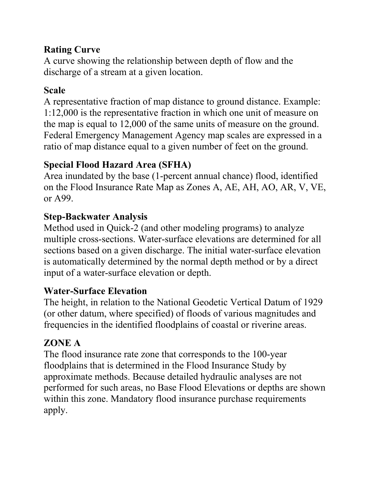### **Rating Curve**

A curve showing the relationship between depth of flow and the discharge of a stream at a given location.

### **Scale**

A representative fraction of map distance to ground distance. Example: 1:12,000 is the representative fraction in which one unit of measure on the map is equal to 12,000 of the same units of measure on the ground. Federal Emergency Management Agency map scales are expressed in a ratio of map distance equal to a given number of feet on the ground.

### **Special Flood Hazard Area (SFHA)**

Area inundated by the base (1-percent annual chance) flood, identified on the Flood Insurance Rate Map as Zones A, AE, AH, AO, AR, V, VE, or A99.

### **Step-Backwater Analysis**

Method used in Quick-2 (and other modeling programs) to analyze multiple cross-sections. Water-surface elevations are determined for all sections based on a given discharge. The initial water-surface elevation is automatically determined by the normal depth method or by a direct input of a water-surface elevation or depth.

### **Water-Surface Elevation**

The height, in relation to the National Geodetic Vertical Datum of 1929 (or other datum, where specified) of floods of various magnitudes and frequencies in the identified floodplains of coastal or riverine areas.

### **ZONE A**

The flood insurance rate zone that corresponds to the 100-year floodplains that is determined in the Flood Insurance Study by approximate methods. Because detailed hydraulic analyses are not performed for such areas, no Base Flood Elevations or depths are shown within this zone. Mandatory flood insurance purchase requirements apply.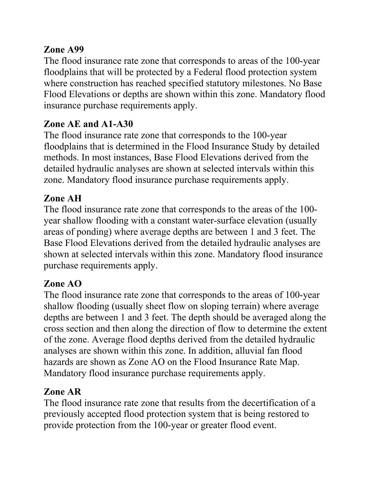#### **Zone A99**

The flood insurance rate zone that corresponds to areas of the 100-year floodplains that will be protected by a Federal flood protection system where construction has reached specified statutory milestones. No Base Flood Elevations or depths are shown within this zone. Mandatory flood insurance purchase requirements apply.

### **Zone AE and A1-A30**

The flood insurance rate zone that corresponds to the 100-year floodplains that is determined in the Flood Insurance Study by detailed methods. In most instances, Base Flood Elevations derived from the detailed hydraulic analyses are shown at selected intervals within this zone. Mandatory flood insurance purchase requirements apply.

### **Zone AH**

The flood insurance rate zone that corresponds to the areas of the 100 year shallow flooding with a constant water-surface elevation (usually areas of ponding) where average depths are between 1 and 3 feet. The Base Flood Elevations derived from the detailed hydraulic analyses are shown at selected intervals within this zone. Mandatory flood insurance purchase requirements apply.

### **Zone AO**

The flood insurance rate zone that corresponds to the areas of 100-year shallow flooding (usually sheet flow on sloping terrain) where average depths are between 1 and 3 feet. The depth should be averaged along the cross section and then along the direction of flow to determine the extent of the zone. Average flood depths derived from the detailed hydraulic analyses are shown within this zone. In addition, alluvial fan flood hazards are shown as Zone AO on the Flood Insurance Rate Map. Mandatory flood insurance purchase requirements apply.

### **Zone AR**

The flood insurance rate zone that results from the decertification of a previously accepted flood protection system that is being restored to provide protection from the 100-year or greater flood event.